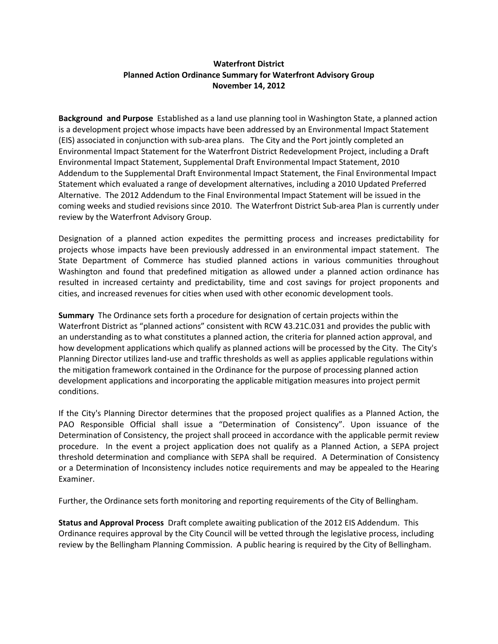# **Waterfront District Planned Action Ordinance Summary for Waterfront Advisory Group November 14, 2012**

**Background and Purpose** Established as a land use planning tool in Washington State, a planned action is a development project whose impacts have been addressed by an Environmental Impact Statement (EIS) associated in conjunction with sub-area plans. The City and the Port jointly completed an Environmental Impact Statement for the Waterfront District Redevelopment Project, including a Draft Environmental Impact Statement, Supplemental Draft Environmental Impact Statement, 2010 Addendum to the Supplemental Draft Environmental Impact Statement, the Final Environmental Impact Statement which evaluated a range of development alternatives, including a 2010 Updated Preferred Alternative. The 2012 Addendum to the Final Environmental Impact Statement will be issued in the coming weeks and studied revisions since 2010. The Waterfront District Sub-area Plan is currently under review by the Waterfront Advisory Group.

Designation of a planned action expedites the permitting process and increases predictability for projects whose impacts have been previously addressed in an environmental impact statement. The State Department of Commerce has studied planned actions in various communities throughout Washington and found that predefined mitigation as allowed under a planned action ordinance has resulted in increased certainty and predictability, time and cost savings for project proponents and cities, and increased revenues for cities when used with other economic development tools.

**Summary** The Ordinance sets forth a procedure for designation of certain projects within the Waterfront District as "planned actions" consistent with RCW 43.21C.031 and provides the public with an understanding as to what constitutes a planned action, the criteria for planned action approval, and how development applications which qualify as planned actions will be processed by the City. The City's Planning Director utilizes land-use and traffic thresholds as well as applies applicable regulations within the mitigation framework contained in the Ordinance for the purpose of processing planned action development applications and incorporating the applicable mitigation measures into project permit conditions.

If the City's Planning Director determines that the proposed project qualifies as a Planned Action, the PAO Responsible Official shall issue a "Determination of Consistency". Upon issuance of the Determination of Consistency, the project shall proceed in accordance with the applicable permit review procedure. In the event a project application does not qualify as a Planned Action, a SEPA project threshold determination and compliance with SEPA shall be required. A Determination of Consistency or a Determination of Inconsistency includes notice requirements and may be appealed to the Hearing Examiner.

Further, the Ordinance sets forth monitoring and reporting requirements of the City of Bellingham.

**Status and Approval Process** Draft complete awaiting publication of the 2012 EIS Addendum.This Ordinance requires approval by the City Council will be vetted through the legislative process, including review by the Bellingham Planning Commission. A public hearing is required by the City of Bellingham.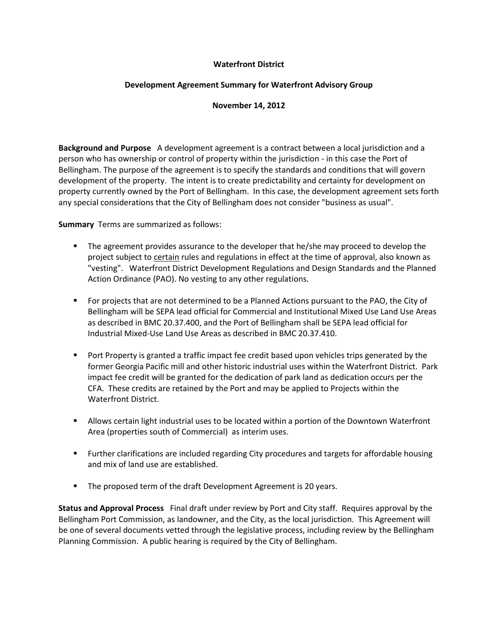### **Waterfront District**

# **Development Agreement Summary for Waterfront Advisory Group**

#### **November 14, 2012**

**Background and Purpose** A development agreement is a contract between a local jurisdiction and a person who has ownership or control of property within the jurisdiction - in this case the Port of Bellingham. The purpose of the agreement is to specify the standards and conditions that will govern development of the property. The intent is to create predictability and certainty for development on property currently owned by the Port of Bellingham. In this case, the development agreement sets forth any special considerations that the City of Bellingham does not consider "business as usual".

**Summary** Terms are summarized as follows:

- The agreement provides assurance to the developer that he/she may proceed to develop the project subject to certain rules and regulations in effect at the time of approval, also known as "vesting". Waterfront District Development Regulations and Design Standards and the Planned Action Ordinance (PAO). No vesting to any other regulations.
- For projects that are not determined to be a Planned Actions pursuant to the PAO, the City of Bellingham will be SEPA lead official for Commercial and Institutional Mixed Use Land Use Areas as described in BMC 20.37.400, and the Port of Bellingham shall be SEPA lead official for Industrial Mixed-Use Land Use Areas as described in BMC 20.37.410.
- **Port Property is granted a traffic impact fee credit based upon vehicles trips generated by the** former Georgia Pacific mill and other historic industrial uses within the Waterfront District. Park impact fee credit will be granted for the dedication of park land as dedication occurs per the CFA. These credits are retained by the Port and may be applied to Projects within the Waterfront District.
- Allows certain light industrial uses to be located within a portion of the Downtown Waterfront Area (properties south of Commercial) as interim uses.
- Further clarifications are included regarding City procedures and targets for affordable housing and mix of land use are established.
- The proposed term of the draft Development Agreement is 20 years.

**Status and Approval Process** Final draft under review by Port and City staff. Requires approval by the Bellingham Port Commission, as landowner, and the City, as the local jurisdiction. This Agreement will be one of several documents vetted through the legislative process, including review by the Bellingham Planning Commission. A public hearing is required by the City of Bellingham.